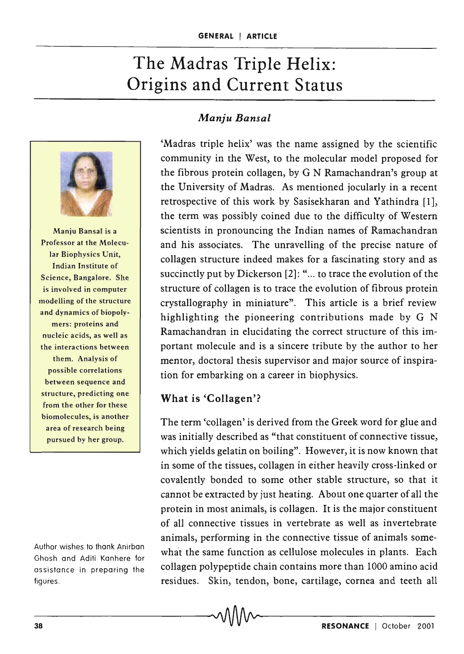# The Madras Triple Helix: Origins and Current Status



Manju Bansal is a Professor at the Molecular Biophysics Unit, Indian Institute of Science, Bangalore. She is involved in computer modelling of the structure and dynamics of biopolymers: proteins and nucleic acids, as well as the interactions between them. Analysis of possible correlations between sequence and structure, predicting one from the other for these biomolecules, is another area of research being pursued by her group.

Author wishes to thank Anirban Ghosh and Aditi Kanhere for assistance in preparing the figures .

# *Manju Bansal*

'Madras triple helix' was the name assigned by the scientific community in the West, to the molecular model proposed for the fibrous protein collagen, by G N Ramachandran's group at the University of Madras. As mentioned jocularly in a recent retrospective of this work by Sasisekharan and Yathindra [1], the term was possibly coined due to the difficulty of Western scientists in pronouncing the Indian names of Ramachandran and his associates. The unravelling of the precise nature of collagen structure indeed makes for a fascinating story and as succinctly put by Dickerson [2]: "... to trace the evolution of the structure of collagen is to trace the evolution of fibrous protein crystallography in miniature". This article is a brief review highlighting the pioneering contributions made by G N Ramachandran in elucidating the correct structure of this important molecule and is a sincere tribute by the author to her mentor, doctoral thesis supervisor and major source of inspiration for embarking on a career in biophysics.

## What is 'Collagen'?

The term 'collagen' is derived from the Greek word for glue and was initially described as "that constituent of connective tissue, which yields gelatin on boiling". However, it is now known that in some of the tissues, collagen in either heavily cross-linked or covalently bonded to some other stable structure, so that it cannot be extracted by just heating. About one quarter of all the protein in most animals, is collagen. It is the major constituent of all connective tissues in vertebrate as well as invertebrate animals, performing in the connective tissue of animals somewhat the same function as cellulose molecules in plants. Each collagen polypeptide chain contains more than 1000 amino acid residues. Skin, tendon, bone, cartilage, cornea and teeth all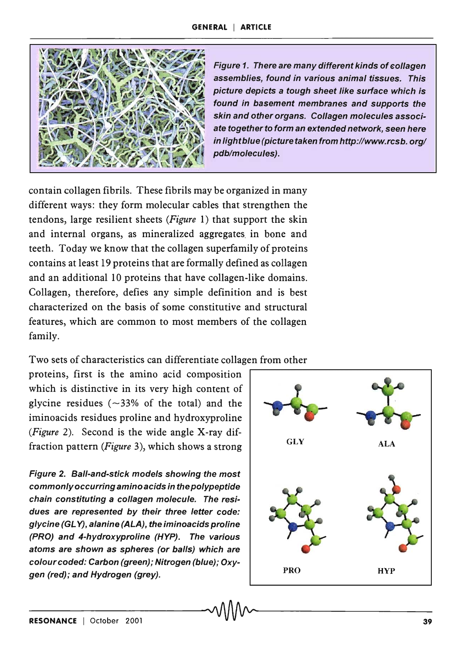

Figure 1. There are many different kinds of collagen assemblies, found in various animal tissues. This picture depicts a tough sheet like surface which is found in basement membranes and supports the skin and other organs. Collagen molecules associate together to form an extended network, seen here in light blue (picture taken from http://www.rcsb.org/ pdb/molecules).

contain collagen fibrils. These fibrils may be organized in many different ways: they form molecular cables that strengthen the tendons, large resilient sheets *(Figure* 1) that support the skin and internal organs, as mineralized aggregates in bone and teeth. Today we know that the collagen superfamily of proteins contains at least 19 proteins that are formally defined as collagen and an additional 10 proteins that have collagen-like domains. Collagen, therefore, defies any simple definition and is best characterized on the basis of some constitutive and structural features, which are common to most members of the collagen family.

Two sets of characteristics can differentiate collagen from other

proteins, first is the amino acid composition which is distinctive in its very high content of glycine residues ( $\sim$ 33% of the total) and the iminoacids residues proline and hydroxyproline *(Figure* 2). Second is the wide angle X-ray diffraction pattern *(Figure* 3), which shows a strong

Figure 2. Ball-and-stick models showing the most commonly occurring amino acids in the polypeptide chain constituting a collagen molecule. The residues are represented by their three letter code: glycine (GLY), alanine (ALA), the iminoacids proline (PRO) and 4-hydroxyproline (HYP). The various atoms are shown as spheres (or balls) which are colour coded: Carbon (green); Nitrogen (blue); Oxygen (red); and Hydrogen (grey).

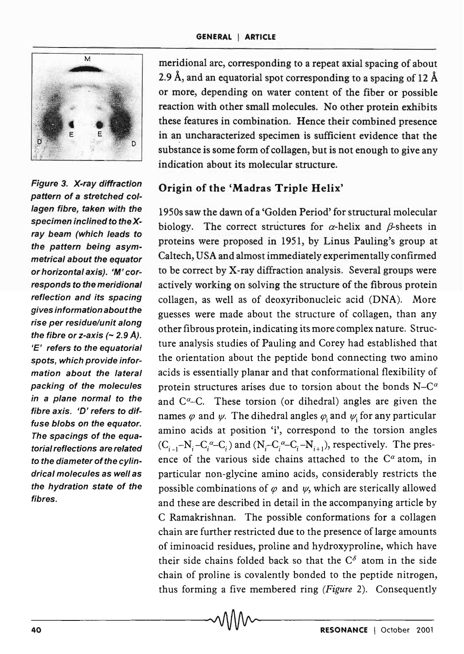

Figure 3. X-ray diffraction pattern of a stretched collagen fibre, taken with the specimen inclined to the Xray beam (which leads to the pattern being asymmetrical about the equator or horizontal axis). 'M' corresponds to the meridional reflection and its spacing gives information aboutthe rise per residue/unit along the fibre or z-axis  $($  - 2.9 Å). 'E' refers to the equatorial spots, which provide information about the lateral packing of the molecules in a plane normal to the fibre axis. 'D'refers to diffuse blobs on the equator. The spacings of the equatorial reflections are related to the diameter of the cylindrical molecules as well as the hydration state of the fibres.

meridional arc, corresponding to a repeat axial spacing of about 2.9 Å, and an equatorial spot corresponding to a spacing of 12 Å or more, depending on water content of the fiber or possible reaction with other small molecules. No other protein exhibits these features in combination. Hence their combined presence in an uncharacterized specimen is sufficient evidence that the substance is some form of collagen, but is not enough to give any indication about its molecular structure.

## Origin of the 'Madras Triple Helix'

1950s saw the dawn of a 'Golden Period' for structural molecular biology. The correct structures for  $\alpha$ -helix and  $\beta$ -sheets in proteins were proposed in 1951, by Linus Pauling's group at Caltech, USA and almost immediately experimentally confirmed to be correct by X-ray diffraction analysis. Several groups were actively working on solving the structure of the fibrous protein collagen, as well as of deoxyribonucleic acid (DNA). More guesses were made about the structure of collagen, than any other fibrous protein, indicating its more complex nature. Structure analysis studies of Pauling and Corey had established that the orientation about the peptide bond connecting two amino acids is essentially planar and that conformational flexibility of protein structures arises due to torsion about the bonds  $N-C^{\alpha}$ and  $C^{\alpha}$ -C. These torsion (or dihedral) angles are given the names  $\varphi$  and  $\psi$ . The dihedral angles  $\varphi$ , and  $\psi$ ; for any particular amino acids at position 'i', correspond to the torsion angles  $(C_{i-1}-N_i-C_i^{\alpha}-C_i)$  and  $(N_i-C_i^{\alpha}-C_i-N_{i+1})$ , respectively. The presence of the various side chains attached to the  $C^{\alpha}$  atom, in particular non-glycine amino acids, considerably restricts the possible combinations of  $\varphi$  and  $\psi$ , which are sterically allowed and these are described in detail in the accompanying article by C Ramakrishnan. The possible conformations for a collagen chain are further restricted due to the presence of large amounts of iminoacid residues, proline and hydroxyproline, which have their side chains folded back so that the  $C^{\delta}$  atom in the side chain of proline is covalently bonded to the peptide nitrogen, thus forming a five membered ring *(Figure* 2). Consequently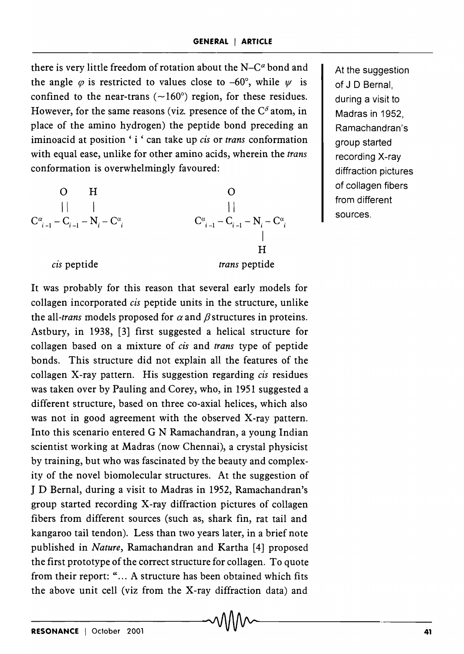there is very little freedom of rotation about the  $N-C^{\alpha}$  bond and the angle  $\varphi$  is restricted to values close to -60°, while  $\psi$  is confined to the near-trans  $(\sim 160^{\circ})$  region, for these residues. However, for the same reasons (viz. presence of the  $C^{\delta}$  atom, in place of the amino hydrogen) the peptide bond preceding an iminoacid at position' i ' can take up *cis* or *trans* conformation with equal ease, unlike for other amino acids, wherein the *trans*  conformation is overwhelmingly favoured:

| O                                                 | H             | O |
|---------------------------------------------------|---------------|---|
|                                                   |               |   |
| $C_{i-1}^{\alpha} - C_{i-1} - N_i - C_i^{\alpha}$ |               |   |
| $C_{i-1}^{\alpha} - C_{i-1} - N_i - C_i^{\alpha}$ |               |   |
| $C_i^{\alpha}$ is peptide                         | trans peptide |   |

At the suggestion of J D Bernal, during a visit to Madras in 1952, Ramachandran's group started recording X-ray diffraction pictures of collagen fibers from different sources.

#### *cis* peptide

It was probably for this reason that several early models for collagen incorporated *cis* peptide units in the structure, unlike the all-*trans* models proposed for  $\alpha$  and  $\beta$  structures in proteins. Astbury, in 1938, [3] first suggested a helical structure for collagen based on a mixture of *cis* and *trans* type of peptide bonds. This structure did not explain all the features of the collagen X-ray pattern. His suggestion regarding *cis* residues was taken over by Pauling and Corey, who, in 1951 suggested a different structure, based on three co-axial helices, which also was not in good agreement with the observed X-ray pattern. Into this scenario entered G N Ramachandran, a young Indian scientist working at Madras (now Chennai), a crystal physicist by training, but who was fascinated by the beauty and complexity of the novel biomolecular structures. At the suggestion of J D Bernal, during a visit to Madras in 1952, Ramachandran's group started recording  $\bar{X}$ -ray diffraction pictures of collagen fibers from different sources (such as, shark fin, rat tail and kangaroo tail tendon). Less than two years later, in a brief note published in *Nature,* Ramachandran and Kartha [4] proposed the first prototype of the correct structure for collagen. To quote from their report: "... A structure has been obtained which fits the above unit cell (viz from the X-ray diffraction data) and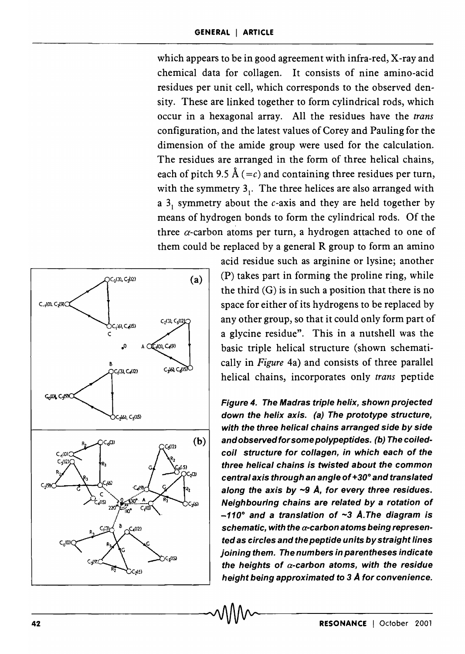which appears to be in good agreement with infra-red, X-ray and chemical data for collagen. It consists of nine amino-acid residues per unit cell, which corresponds to the observed density. These are linked together to form cylindrical rods, which occur in a hexagonal array. All the residues have the *trans*  configuration, and the latest values of Corey and Pauling for the dimension of the amide group were used for the calculation. The residues are arranged in the form of three helical chains, each of pitch 9.5 Å (=c) and containing three residues per turn, with the symmetry  $3<sub>1</sub>$ . The three helices are also arranged with a  $3<sub>1</sub>$  symmetry about the c-axis and they are held together by means of hydrogen bonds to form the cylindrical rods. Of the three  $\alpha$ -carbon atoms per turn, a hydrogen attached to one of them could be replaced by a general R group to form an amino



acid residue such as arginine or lysine; another (P) takes part in forming the proline ring, while the third  $(G)$  is in such a position that there is no space for either of its hydrogens to be replaced by any other group, so that it could only form part of a glycine residue". This in a nutshell was the basic triple helical structure (shown schematically in *Figure* 4a) and consists of three parallel helical chains, incorporates only *trans* peptide

Figure 4. The Madras triple helix, shown projected down the helix axis. (a) The prototype structure, with the three helical chains arranged side by side  $(b)$  and observed for some polypeptides. (b) The coiledcoil structure for collagen, in which each of the three helical chains is twisted about the common central axis through an angle of  $+30^{\circ}$  and translated along the axis by  $\sim$ 9 Å, for every three residues. Neighbouring chains are related by a rotation of -110° and a translation of ~3 A. The diagram is schematic, with the  $\alpha$ -carbon atoms being represented as eircles and the peptide units by straight lines joining them. The numbers in parentheses indicate the heights of  $\alpha$ -carbon atoms, with the residue height being approximated to 3 *A* for convenience.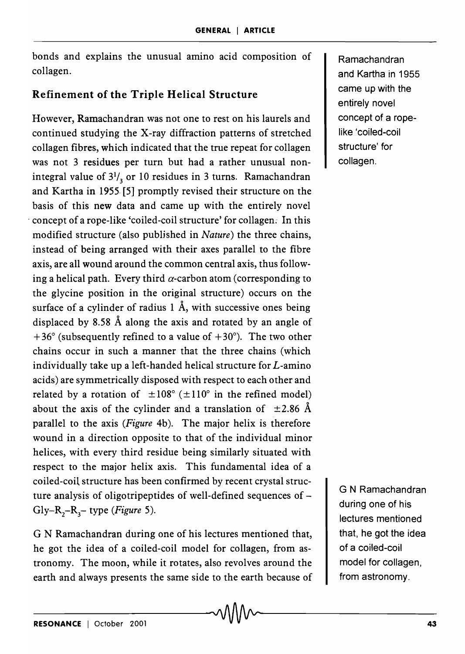bonds and explains the unusual amino acid composition of collagen.

# Refinement of the Triple Helical Structure

However, Ramachandran was not one to rest on his laurels and continued studying the X-ray diffraction patterns of stretched collagen fibres, which indicated that the true repeat for collagen was not 3 residues per turn but had a rather unusual nonintegral value of  $3^{1/3}$  or 10 residues in 3 turns. Ramachandran and Kartha in 1955· [5] promptly revised their structure on the basis of this new data and came up with the entirely novel , concept of a rope-like 'coiled-coil structure' for collagen: In this modified structure (also publjshed in *Nature)* the three chains, instead of being arranged with their axes parallel to the fibre axis, are all wound around the common central axis, thus following a helical path. Every third  $\alpha$ -carbon atom (corresponding to the glycine position in the original structure) occurs on the surface of a cylinder of radius  $1 \text{ Å}$ , with successive ones being displaced by 8.58 A along the axis and rotated by an angle of  $+36^{\circ}$  (subsequently refined to a value of  $+30^{\circ}$ ). The two other chains occur in such a manner that the three chains (which individually take up a left-handed helical structure for *L-amino*  acids) are symmetrically disposed with respect to each other and related by a rotation of  $\pm 108^\circ$  ( $\pm 110^\circ$  in the refined model) about the axis of the cylinder and a translation of  $\pm 2.86$  Å parallel to the axis *(Figure* 4b). The major helix is therefore wound in a direction opposite to that of the individual minor helices, with every third residue being similarly situated with respect to the major helix axis. This fundamental idea of a coiled-coil structure has been confirmed by recent crystal structure analysis of oligotripeptides of well-defined sequences of -Gly- $R_2-R_3$ - type *(Figure 5)*.

G N Ramachandran during one of his lectures mentioned that, he got the idea of a coiled-coil model for collagen, from astronomy. The moon, while it rotates, also revolves around the earth and always presents the same side to the earth because of Ramachandran and Kartha in 1955 came up with the entirely novel concept of a ropelike 'coiled-coil structure' for collagen.

G N Ramachandran during one of his lectures mentioned that, he got the idea of a coiled-coil model for collagen, from astronomy.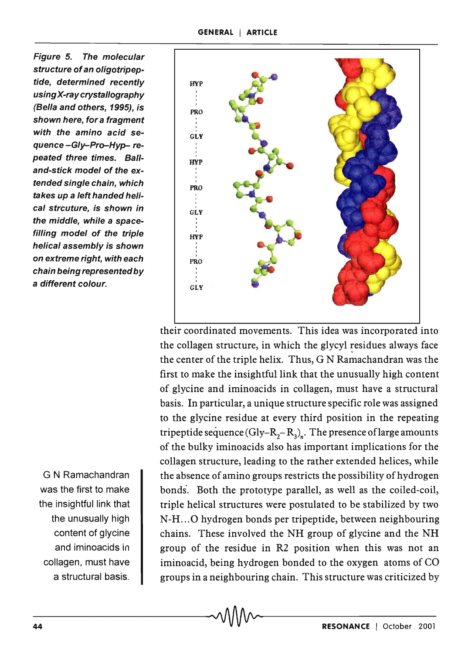Figure 5. The molecular structure of an oligotripeptide, determined recently using X-ray crystallography (Sella and others, 1995), is shown here, for a fragment with the amino acid sequence -Gly-Pro-Hyp- repeated three times. Balland-stick model of the extended single chain, which takes up a left handed helical strcuture, is shown in the middle, while a spacefilling model of the triple helical assembly is shown on extreme right, with each chain being represented by a different colour.

G N Ramachandran was the first to make the insightful link that the unusually high content of glycine and iminoacids in collagen, must have a structural basis.



their coordinated movements. This idea was incorporated into the collagen structure, in which the glycyl residues always face the center of the triple helix. Thus, G N Ramachandran was the first to make the insightful link that the unusually high content of glycine and iminoacids in collagen, must have a structural basis. In particular, a unique structure specific role was assigned to the glycine residue at every third position in the repeating tripeptide sequence (Gly–R<sub>2</sub>–R<sub>3</sub>)<sub>n</sub>. The presence of large amounts of the bulky iminoacids also has important implications for the collagen structure, leading to the rather extended helices, while the absence of amino groups restricts the possibility of hydrogen bonds'. Both the prototype parallel, as well as the coiled-coil, triple helical structures were postulated to be stabilized by two N-H...O hydrogen bonds per tripeptide, between neighbouring chains. These involved the NH group of glycine and the NH group of the residue in R2 position when this was not an iminoacid, being hydrogen bonded to the oxygen atoms of CO groups in a neighbouring chain. This structure was criticized by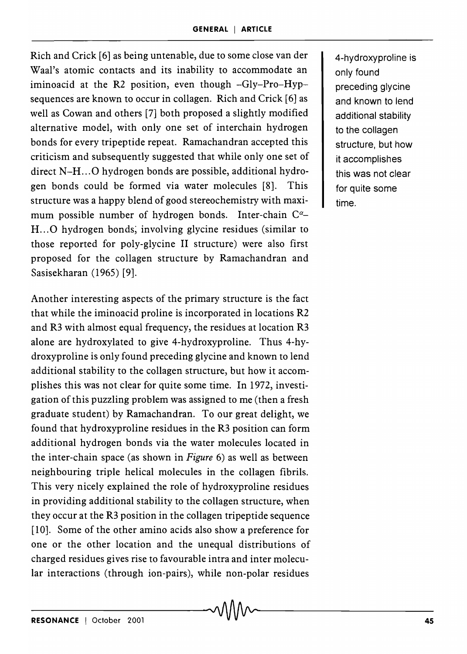Rich and Crick [6] as being untenable, due to some close van der Waal's atomic contacts and its inability to accommodate an iminoacid at the R2 position, even though -Gly-Pro-Hypsequences are known to occur in collagen. Rich and Crick [6] as well as Cowan and others [7] both proposed a slightly modified alternative model, with only one set of interchain hydrogen bonds for every tripeptide repeat. Ramachandran accepted this criticism and subsequently suggested that while only one set of direct N-H...O hydrogen bonds are possible, additional hydrogen bonds could be formed via water molecules [8]. This structure was a happy blend of good stereochemistry with maximum possible number of hydrogen bonds. Inter-chain C<sup>a</sup>-H... O hydrogen bonds, involving glycine residues (similar to those reported for poly-glycine II structure) were also first proposed for the collagen structure by Ramachandran and Sasisekharan (1965) [9].

Another interesting aspects of the primary structure is the fact that while the iminoacid proline is incorporated in locations R2 and R3 with almost equal frequency, the residues at location R3 alone are hydroxylated to give 4-hydroxyproline. Thus 4-hydroxyproline is only found preceding glycine and known to lend additional stability to the collagen structure, but how it accomplishes this was not clear for quite some time. In 1972, investigation of this puzzling problem was assigned to me (then a fresh graduate student) by Ramachandran. To our great delight, we found that hydroxyproline residues in the R3 position can form additional hydrogen bonds via the water molecules located in the inter-chain space (as shown in *Figure* 6) as well as between neighbouring triple helical molecules in the collagen fibrils. This very nicely explained the role of hydroxyproline residues in providing additional stability to the collagen structure, when they occur at the R3 position in the collagen tripeptide sequence [10]. Some of the other amino acids also show a preference for one or the other location and the unequal distributions of charged residues gives rise to favourable intra and inter molecular interactions (through ion-pairs), while non-polar residues

4-hydroxyproline is only found preceding glycine and known to lend additional stability to the collagen structure, but how it accomplishes this was not clear for quite some time.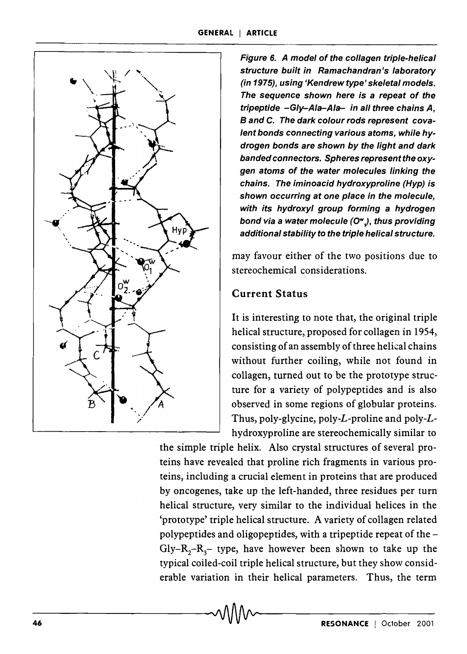

Figure 6. A model of the collagen triple-helical structure built in Ramachandran's laboratory (in 1975), using 'Kendrew type' skeletal models. The sequence shown here is a repeat of the tripeptide -Gly-Ala-Ala- in all three chains A, Band C. The dark colour rods represent covalent bonds connecting various atoms, while hydrogen bonds are shown by the light and dark banded connectors. Spheres represent the oxygen atoms of the water molecules linking the chains. The iminoacid hydroxyproline (Hyp) is shown occurring at one place in the molecule, with its hydroxyl group forming a hydrogen bond via a water molecule *(OW* J, thus providing additional stability to the triple helical structure.

may favour either of the two positions due to stereochemical considerations.

# Current Status

It is interesting to note that, the original triple helical structure, proposed for collagen in 1954, consisting of an assembly of three helical chains without further coiling, while not found in collagen, turned out to be the prototype structure for a variety of polypeptides and is also observed in some regions of globular proteins. Thus, poly-glycine, poly-L-proline and poly-Lhydroxyproline are stereochemically similar to

the simple triple helix. Also crystal structures of several proteins have revealed that proline rich fragments in various proteins, including a crucial element in proteins that are produced by oncogenes, take up the left-handed, three residues per turn helical structure, very similar to the individual helices in the 'prototype' triple helical structure. A variety of collagen related polypeptides and oligopeptides, with a tripeptide repeat of the  $Gly - R_2 - R_3$  type, have however been shown to take up the typical coiled-coil triple helical structure, but they show considerable variation in their helical parameters. Thus, the term